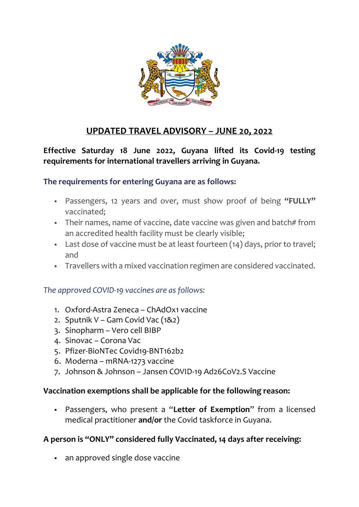

# **UPDATED TRAVEL ADVISORY – JUNE 20, 2022**

**Effective Saturday 18 June 2022, Guyana lifted its Covid-19 testing requirements for international travellers arriving in Guyana.**

## **The requirements for entering Guyana are as follows:**

- Passengers, 12 years and over, must show proof of being **"FULLY"** vaccinated;
- **•** Their names, name of vaccine, date vaccine was given and batch# from an accredited health facility must be clearly visible;
- Last dose of vaccine must be at least fourteen (14) days, prior to travel; and
- Travellers with a mixed vaccination regimen are considered vaccinated.

## *The approved COVID-19 vaccines are as follows:*

- 1. Oxford-Astra Zeneca ChAdOx1 vaccine
- 2. Sputnik V Gam Covid Vac (1&2)
- 3. Sinopharm Vero cell BIBP
- 4. Sinovac Corona Vac
- 5. Pfizer-BioNTec Covid19-BNT162b2
- 6. Moderna mRNA-1273 vaccine
- 7. Johnson & Johnson Jansen COVID-19 Ad26CoV2.S Vaccine

## **Vaccination exemptions shall be applicable for the following reason:**

▪ Passengers, who present a "**Letter of Exemption**" from a licensed medical practitioner **and/or** the Covid taskforce in Guyana.

## **A person is "ONLY" considered fully Vaccinated, 14 days after receiving:**

• an approved single dose vaccine